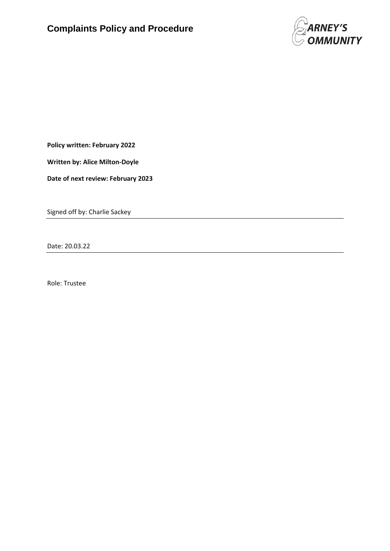

**Policy written: February 2022**

**Written by: Alice Milton-Doyle**

**Date of next review: February 2023**

Signed off by: Charlie Sackey

Date: 20.03.22

Role: Trustee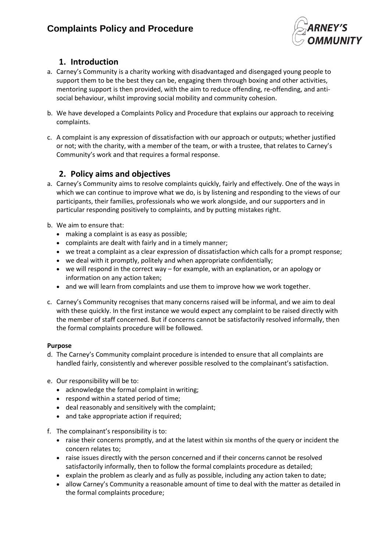

## **1. Introduction**

- a. Carney's Community is a charity working with disadvantaged and disengaged young people to support them to be the best they can be, engaging them through boxing and other activities, mentoring support is then provided, with the aim to reduce offending, re-offending, and antisocial behaviour, whilst improving social mobility and community cohesion.
- b. We have developed a Complaints Policy and Procedure that explains our approach to receiving complaints.
- c. A complaint is any expression of dissatisfaction with our approach or outputs; whether justified or not; with the charity, with a member of the team, or with a trustee, that relates to Carney's Community's work and that requires a formal response.

### **2. Policy aims and objectives**

- a. Carney's Community aims to resolve complaints quickly, fairly and effectively. One of the ways in which we can continue to improve what we do, is by listening and responding to the views of our participants, their families, professionals who we work alongside, and our supporters and in particular responding positively to complaints, and by putting mistakes right.
- b. We aim to ensure that:
	- making a complaint is as easy as possible;
	- complaints are dealt with fairly and in a timely manner;
	- we treat a complaint as a clear expression of dissatisfaction which calls for a prompt response;
	- we deal with it promptly, politely and when appropriate confidentially;
	- we will respond in the correct way for example, with an explanation, or an apology or information on any action taken;
	- and we will learn from complaints and use them to improve how we work together.
- c. Carney's Community recognises that many concerns raised will be informal, and we aim to deal with these quickly. In the first instance we would expect any complaint to be raised directly with the member of staff concerned. But if concerns cannot be satisfactorily resolved informally, then the formal complaints procedure will be followed.

#### **Purpose**

- d. The Carney's Community complaint procedure is intended to ensure that all complaints are handled fairly, consistently and wherever possible resolved to the complainant's satisfaction.
- e. Our responsibility will be to:
	- acknowledge the formal complaint in writing;
	- respond within a stated period of time;
	- deal reasonably and sensitively with the complaint;
	- and take appropriate action if required;
- f. The complainant's responsibility is to:
	- raise their concerns promptly, and at the latest within six months of the query or incident the concern relates to;
	- raise issues directly with the person concerned and if their concerns cannot be resolved satisfactorily informally, then to follow the formal complaints procedure as detailed;
	- explain the problem as clearly and as fully as possible, including any action taken to date;
	- allow Carney's Community a reasonable amount of time to deal with the matter as detailed in the formal complaints procedure;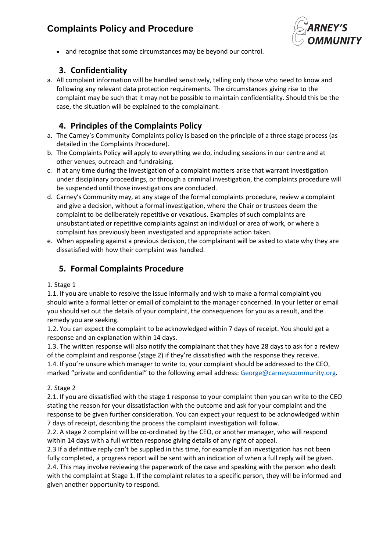# **Complaints Policy and Procedure**



• and recognise that some circumstances may be beyond our control.

## **3. Confidentiality**

a. All complaint information will be handled sensitively, telling only those who need to know and following any relevant data protection requirements. The circumstances giving rise to the complaint may be such that it may not be possible to maintain confidentiality. Should this be the case, the situation will be explained to the complainant.

### **4. Principles of the Complaints Policy**

- a. The Carney's Community Complaints policy is based on the principle of a three stage process (as detailed in the Complaints Procedure).
- b. The Complaints Policy will apply to everything we do, including sessions in our centre and at other venues, outreach and fundraising.
- c. If at any time during the investigation of a complaint matters arise that warrant investigation under disciplinary proceedings, or through a criminal investigation, the complaints procedure will be suspended until those investigations are concluded.
- d. Carney's Community may, at any stage of the formal complaints procedure, review a complaint and give a decision, without a formal investigation, where the Chair or trustees deem the complaint to be deliberately repetitive or vexatious. Examples of such complaints are unsubstantiated or repetitive complaints against an individual or area of work, or where a complaint has previously been investigated and appropriate action taken.
- e. When appealing against a previous decision, the complainant will be asked to state why they are dissatisfied with how their complaint was handled.

## **5. Formal Complaints Procedure**

#### 1. Stage 1

1.1. If you are unable to resolve the issue informally and wish to make a formal complaint you should write a formal letter or email of complaint to the manager concerned. In your letter or email you should set out the details of your complaint, the consequences for you as a result, and the remedy you are seeking.

1.2. You can expect the complaint to be acknowledged within 7 days of receipt. You should get a response and an explanation within 14 days.

1.3. The written response will also notify the complainant that they have 28 days to ask for a review of the complaint and response (stage 2) if they're dissatisfied with the response they receive. 1.4. If you're unsure which manager to write to, your complaint should be addressed to the CEO, marked "private and confidential" to the following email address: [George@carneyscommunity.org.](mailto:George@carneyscommunity.org)

#### 2. Stage 2

2.1. If you are dissatisfied with the stage 1 response to your complaint then you can write to the CEO stating the reason for your dissatisfaction with the outcome and ask for your complaint and the response to be given further consideration. You can expect your request to be acknowledged within 7 days of receipt, describing the process the complaint investigation will follow.

2.2. A stage 2 complaint will be co-ordinated by the CEO, or another manager, who will respond within 14 days with a full written response giving details of any right of appeal.

2.3 If a definitive reply can't be supplied in this time, for example if an investigation has not been fully completed, a progress report will be sent with an indication of when a full reply will be given. 2.4. This may involve reviewing the paperwork of the case and speaking with the person who dealt with the complaint at Stage 1. If the complaint relates to a specific person, they will be informed and given another opportunity to respond.